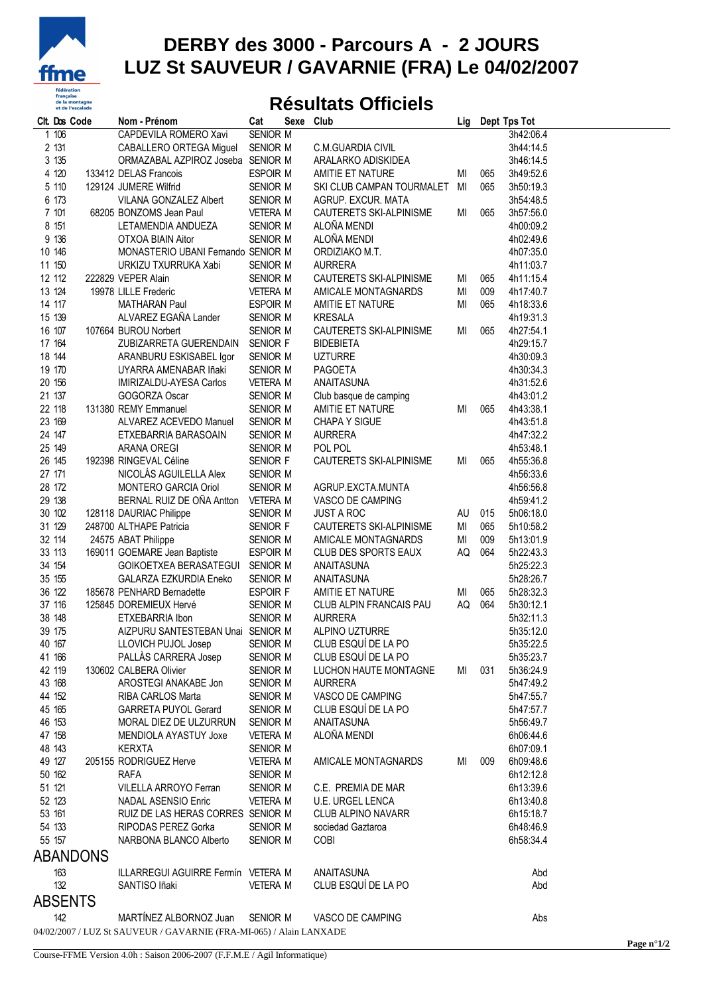

## **DERBY des 3000 - Parcours A - 2 JOURS LUZ St SAUVEUR / GAVARNIE (FRA) Le 04/02/2007**

## **Résultats Officiels**

| Clt. Dos Code |                  | Nom - Prénom                                                        | Cat                  | Sexe Club |                              | Lig    |     | Dept Tps Tot           |  |
|---------------|------------------|---------------------------------------------------------------------|----------------------|-----------|------------------------------|--------|-----|------------------------|--|
|               | 1106             | CAPDEVILA ROMERO Xavi                                               | <b>SENIOR M</b>      |           |                              |        |     | 3h42:06.4              |  |
|               | 2 131            | CABALLERO ORTEGA Miguel                                             | SENIOR M             |           | C.M.GUARDIA CIVIL            |        |     | 3h44:14.5              |  |
|               | 3 135            | ORMAZABAL AZPIROZ Joseba SENIOR M                                   |                      |           | ARALARKO ADISKIDEA           |        |     | 3h46:14.5              |  |
|               | 4 120            | 133412 DELAS Francois                                               | ESPOIR M             |           | AMITIE ET NATURE             | MI     | 065 | 3h49:52.6              |  |
|               | 5 110            | 129124 JUMERE Wilfrid                                               | SENIOR M             |           | SKI CLUB CAMPAN TOURMALET MI |        | 065 | 3h50:19.3              |  |
|               | 6 173            | VILANA GONZALEZ Albert                                              | SENIOR M             |           | AGRUP. EXCUR. MATA           |        |     | 3h54:48.5              |  |
|               | 7 101            | 68205 BONZOMS Jean Paul                                             | <b>VETERA M</b>      |           | CAUTERETS SKI-ALPINISME      | MI     | 065 | 3h57:56.0              |  |
|               | 8 151            | LETAMENDIA ANDUEZA                                                  | SENIOR M             |           | ALOÑA MENDI                  |        |     | 4h00:09.2              |  |
|               | 9 136            | OTXOA BIAIN Aitor                                                   | SENIOR M             |           | ALOÑA MENDI                  |        |     | 4h02:49.6              |  |
|               | 10 146           | MONASTERIO UBANI Fernando SENIOR M                                  |                      |           | ORDIZIAKO M.T.               |        |     | 4h07:35.0              |  |
|               | 11 150           | URKIZU TXURRUKA Xabi                                                | SENIOR M             |           | <b>AURRERA</b>               |        |     | 4h11:03.7              |  |
|               | 12 112           | 222829 VEPER Alain                                                  | SENIOR M             |           | CAUTERETS SKI-ALPINISME      | MI     | 065 | 4h11:15.4              |  |
|               | 13 124           | 19978 LILLE Frederic                                                | VETERA M             |           | AMICALE MONTAGNARDS          | MI     | 009 | 4h17:40.7              |  |
|               | 14 117           | <b>MATHARAN Paul</b>                                                | ESPOIR M             |           | AMITIE ET NATURE             | MI     | 065 | 4h18:33.6              |  |
|               | 15 139           | ALVAREZ EGAÑA Lander                                                | SENIOR M             |           | <b>KRESALA</b>               |        |     | 4h19:31.3              |  |
|               | 16 107           | 107664 BUROU Norbert                                                | SENIOR M             |           | CAUTERETS SKI-ALPINISME      | MI     | 065 | 4h27:54.1              |  |
|               | 17 164           | ZUBIZARRETA GUERENDAIN SENIOR F                                     |                      |           | <b>BIDEBIETA</b>             |        |     | 4h29:15.7              |  |
|               | 18 144           | ARANBURU ESKISABEL Igor                                             | SENIOR M             |           | <b>UZTURRE</b>               |        |     | 4h30:09.3              |  |
|               | 19 170           | UYARRA AMENABAR Iñaki                                               | SENIOR M             |           | PAGOETA                      |        |     | 4h30:34.3              |  |
|               | 20 156           | IMIRIZALDU-AYESA Carlos                                             | <b>VETERA M</b>      |           | ANAITASUNA                   |        |     | 4h31:52.6              |  |
|               | 21 137           | GOGORZA Oscar                                                       | SENIOR M             |           | Club basque de camping       |        |     | 4h43:01.2              |  |
|               | 22 118           | 131380 REMY Emmanuel                                                | SENIOR M             |           | AMITIE ET NATURE             | MI     | 065 | 4h43:38.1              |  |
|               | 23 169           | ALVAREZ ACEVEDO Manuel                                              | SENIOR M             |           | <b>CHAPA Y SIGUE</b>         |        |     | 4h43:51.8              |  |
|               | 24 147           | ETXEBARRIA BARASOAIN<br><b>ARANA OREGI</b>                          | SENIOR M             |           | <b>AURRERA</b>               |        |     | 4h47:32.2              |  |
|               | 25 149<br>26 145 |                                                                     | SENIOR M             |           | POL POL                      |        |     | 4h53:48.1              |  |
|               | 27 171           | 192398 RINGEVAL Céline                                              | SENIOR F             |           | CAUTERETS SKI-ALPINISME      | МI     | 065 | 4h55:36.8              |  |
|               | 28 172           | NICOLÁS AGUILELLA Alex<br>MONTERO GARCIA Oriol                      | SENIOR M<br>SENIOR M |           | AGRUP.EXCTA.MUNTA            |        |     | 4h56:33.6<br>4h56:56.8 |  |
|               | 29 138           | BERNAL RUIZ DE OÑA Antton VETERA M                                  |                      |           | VASCO DE CAMPING             |        |     | 4h59:41.2              |  |
|               | 30 102           | 128118 DAURIAC Philippe                                             |                      |           | <b>JUST A ROC</b>            | AU 015 |     | 5h06:18.0              |  |
|               | 31 129           | 248700 ALTHAPE Patricia                                             | SENIOR M<br>SENIOR F |           | CAUTERETS SKI-ALPINISME      | MI     | 065 | 5h10:58.2              |  |
|               | 32 114           | 24575 ABAT Philippe                                                 | SENIOR M             |           | AMICALE MONTAGNARDS          | ΜI     | 009 | 5h13:01.9              |  |
|               | 33 113           | 169011 GOEMARE Jean Baptiste                                        | ESPOIR M             |           | CLUB DES SPORTS EAUX         | AQ     | 064 | 5h22:43.3              |  |
|               | 34 154           | GOIKOETXEA BERASATEGUI SENIOR M                                     |                      |           | ANAITASUNA                   |        |     | 5h25:22.3              |  |
|               | 35 155           | GALARZA EZKURDIA Eneko                                              | SENIOR M             |           | ANAITASUNA                   |        |     | 5h28:26.7              |  |
|               | 36 122           | 185678 PENHARD Bernadette                                           | <b>ESPOIR F</b>      |           | AMITIE ET NATURE             | ΜI     | 065 | 5h28:32.3              |  |
|               | 37 116           | 125845 DOREMIEUX Hervé                                              | SENIOR M             |           | CLUB ALPIN FRANCAIS PAU      | AQ     | 064 | 5h30:12.1              |  |
|               | 38 148           | ETXEBARRIA Ibon                                                     | SENIOR M             |           | <b>AURRERA</b>               |        |     | 5h32:11.3              |  |
|               | 39 175           | AIZPURU SANTESTEBAN Unai SENIOR M                                   |                      |           | <b>ALPINO UZTURRE</b>        |        |     | 5h35:12.0              |  |
|               | 40 167           | LLOVICH PUJOL Josep                                                 | SENIOR M             |           | CLUB ESQUÍ DE LA PO          |        |     | 5h35:22.5              |  |
|               | 41 166           | PALLÀS CARRERA Josep                                                | SENIOR M             |           | CLUB ESQUÍ DE LA PO          |        |     | 5h35:23.7              |  |
|               | 42 119           | 130602 CALBERA Olivier                                              | SENIOR M             |           | LUCHON HAUTE MONTAGNE        | МI     | 031 | 5h36:24.9              |  |
|               | 43 168           | AROSTEGI ANAKABE Jon                                                | SENIOR M             |           | <b>AURRERA</b>               |        |     | 5h47:49.2              |  |
|               | 44 152           | RIBA CARLOS Marta                                                   | SENIOR M             |           | VASCO DE CAMPING             |        |     | 5h47:55.7              |  |
|               | 45 165           | <b>GARRETA PUYOL Gerard</b>                                         | SENIOR M             |           | CLUB ESQUÍ DE LA PO          |        |     | 5h47:57.7              |  |
|               | 46 153           | MORAL DIEZ DE ULZURRUN                                              | SENIOR M             |           | ANAITASUNA                   |        |     | 5h56:49.7              |  |
|               | 47 158           | MENDIOLA AYASTUY Joxe                                               | <b>VETERA M</b>      |           | ALOÑA MENDI                  |        |     | 6h06:44.6              |  |
|               | 48 143           | <b>KERXTA</b>                                                       | SENIOR M             |           |                              |        |     | 6h07:09.1              |  |
|               | 49 127           | 205155 RODRIGUEZ Herve                                              | <b>VETERA M</b>      |           | AMICALE MONTAGNARDS          | MI     | 009 | 6h09:48.6              |  |
|               | 50 162           | <b>RAFA</b>                                                         | SENIOR M             |           |                              |        |     | 6h12:12.8              |  |
| 51 121        |                  | VILELLA ARROYO Ferran                                               | SENIOR M             |           | C.E. PREMIA DE MAR           |        |     | 6h13:39.6              |  |
|               | 52 123           | NADAL ASENSIO Enric                                                 | <b>VETERA M</b>      |           | <b>U.E. URGEL LENCA</b>      |        |     | 6h13:40.8              |  |
| 53 161        |                  | RUIZ DE LAS HERAS CORRES SENIOR M                                   |                      |           | CLUB ALPINO NAVARR           |        |     | 6h15:18.7              |  |
|               | 54 133           | <b>RIPODAS PEREZ Gorka</b>                                          | SENIOR M             |           | sociedad Gaztaroa            |        |     | 6h48:46.9              |  |
|               | 55 157           | NARBONA BLANCO Alberto                                              | SENIOR M             |           | COBI                         |        |     | 6h58:34.4              |  |
|               | <b>ABANDONS</b>  |                                                                     |                      |           |                              |        |     |                        |  |
|               | 163              | ILLARREGUI AGUIRRE Fermín VETERA M                                  |                      |           | ANAITASUNA                   |        |     | Abd                    |  |
|               | 132              | SANTISO Iñaki                                                       | <b>VETERA M</b>      |           | CLUB ESQUÍ DE LA PO          |        |     | Abd                    |  |
|               | <b>ABSENTS</b>   |                                                                     |                      |           |                              |        |     |                        |  |
|               |                  |                                                                     |                      |           |                              |        |     |                        |  |
|               | 142              | MARTÍNEZ ALBORNOZ Juan                                              | SENIOR M             |           | VASCO DE CAMPING             |        |     | Abs                    |  |
|               |                  | 04/02/2007 / LUZ St SAUVEUR / GAVARNIE (FRA-MI-065) / Alain LANXADE |                      |           |                              |        |     |                        |  |